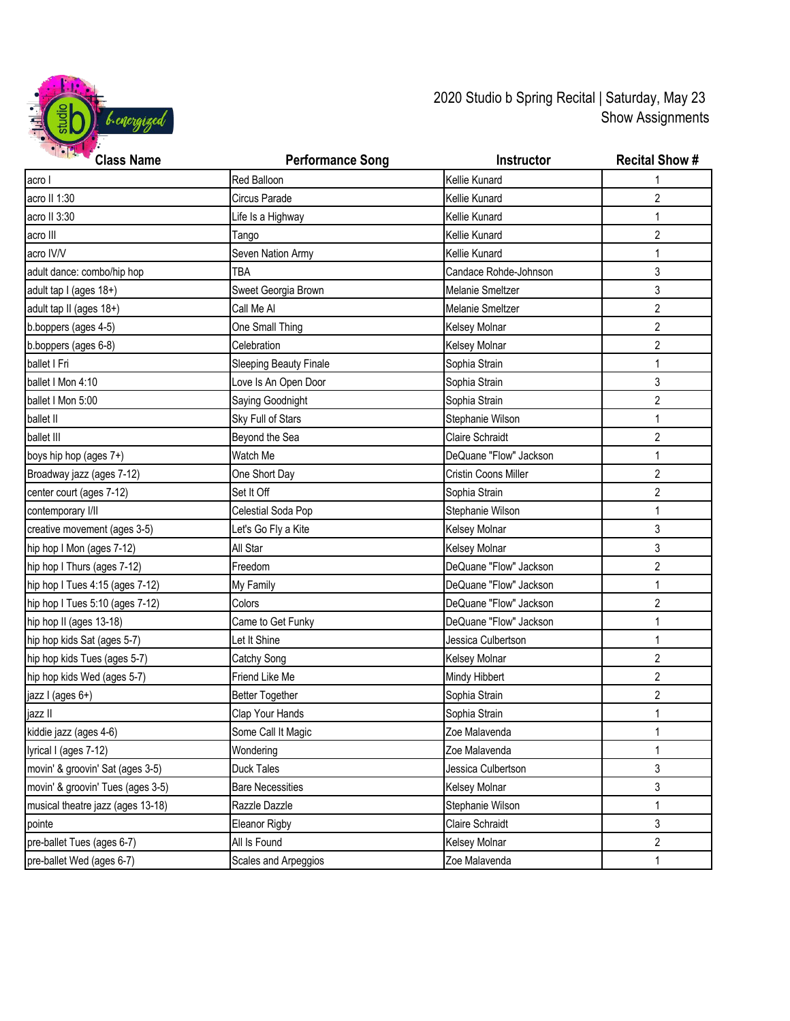

2020 Studio b Spring Recital | Saturday, May 23 Show Assignments

| <b>STATE OF STREET</b><br><b>Class Name</b> | <b>Performance Song</b>       | Instructor             | <b>Recital Show #</b> |
|---------------------------------------------|-------------------------------|------------------------|-----------------------|
| acro I                                      | Red Balloon                   | Kellie Kunard          |                       |
| acro II 1:30                                | Circus Parade                 | Kellie Kunard          | $\overline{2}$        |
| acro II 3:30                                | Life Is a Highway             | Kellie Kunard          | 1                     |
| acro III                                    | Tango                         | Kellie Kunard          | 2                     |
| acro IV/V                                   | Seven Nation Army             | Kellie Kunard          | 1                     |
| adult dance: combo/hip hop                  | <b>TBA</b>                    | Candace Rohde-Johnson  | 3                     |
| adult tap I (ages 18+)                      | Sweet Georgia Brown           | Melanie Smeltzer       | 3                     |
| adult tap II (ages 18+)                     | Call Me Al                    | Melanie Smeltzer       | $\overline{2}$        |
| b.boppers (ages 4-5)                        | One Small Thing               | Kelsey Molnar          | 2                     |
| b.boppers (ages 6-8)                        | Celebration                   | Kelsey Molnar          | 2                     |
| ballet I Fri                                | <b>Sleeping Beauty Finale</b> | Sophia Strain          | 1                     |
| ballet I Mon 4:10                           | Love Is An Open Door          | Sophia Strain          | 3                     |
| ballet I Mon 5:00                           | Saying Goodnight              | Sophia Strain          | $\overline{2}$        |
| ballet II                                   | Sky Full of Stars             | Stephanie Wilson       | 1                     |
| ballet III                                  | Beyond the Sea                | <b>Claire Schraidt</b> | $\overline{2}$        |
| boys hip hop (ages 7+)                      | Watch Me                      | DeQuane "Flow" Jackson | 1                     |
| Broadway jazz (ages 7-12)                   | One Short Day                 | Cristin Coons Miller   | $\overline{2}$        |
| center court (ages 7-12)                    | Set It Off                    | Sophia Strain          | 2                     |
| contemporary I/II                           | Celestial Soda Pop            | Stephanie Wilson       | 1                     |
| creative movement (ages 3-5)                | Let's Go Fly a Kite           | Kelsey Molnar          | 3                     |
| hip hop I Mon (ages 7-12)                   | All Star                      | Kelsey Molnar          | 3                     |
| hip hop I Thurs (ages 7-12)                 | Freedom                       | DeQuane "Flow" Jackson | $\overline{2}$        |
| hip hop I Tues 4:15 (ages 7-12)             | My Family                     | DeQuane "Flow" Jackson | $\mathbf{1}$          |
| hip hop I Tues 5:10 (ages 7-12)             | Colors                        | DeQuane "Flow" Jackson | $\overline{2}$        |
| hip hop II (ages 13-18)                     | Came to Get Funky             | DeQuane "Flow" Jackson | $\mathbf{1}$          |
| hip hop kids Sat (ages 5-7)                 | Let It Shine                  | Jessica Culbertson     | 1                     |
| hip hop kids Tues (ages 5-7)                | Catchy Song                   | Kelsey Molnar          | $\overline{2}$        |
| hip hop kids Wed (ages 5-7)                 | Friend Like Me                | Mindy Hibbert          | $\overline{2}$        |
| jazz I (ages 6+)                            | <b>Better Together</b>        | Sophia Strain          | $\overline{2}$        |
| jazz II                                     | Clap Your Hands               | Sophia Strain          | 1                     |
| kiddie jazz (ages 4-6)                      | Some Call It Magic            | Zoe Malavenda          | $\mathbf{1}$          |
| lyrical I (ages 7-12)                       | Wondering                     | Zoe Malavenda          | 1                     |
| movin' & groovin' Sat (ages 3-5)            | Duck Tales                    | Jessica Culbertson     | 3                     |
| movin' & groovin' Tues (ages 3-5)           | <b>Bare Necessities</b>       | Kelsey Molnar          | 3                     |
| musical theatre jazz (ages 13-18)           | Razzle Dazzle                 | Stephanie Wilson       |                       |
| pointe                                      | Eleanor Rigby                 | Claire Schraidt        | 3                     |
| pre-ballet Tues (ages 6-7)                  | All Is Found                  | Kelsey Molnar          | 2                     |
| pre-ballet Wed (ages 6-7)                   | Scales and Arpeggios          | Zoe Malavenda          | 1                     |